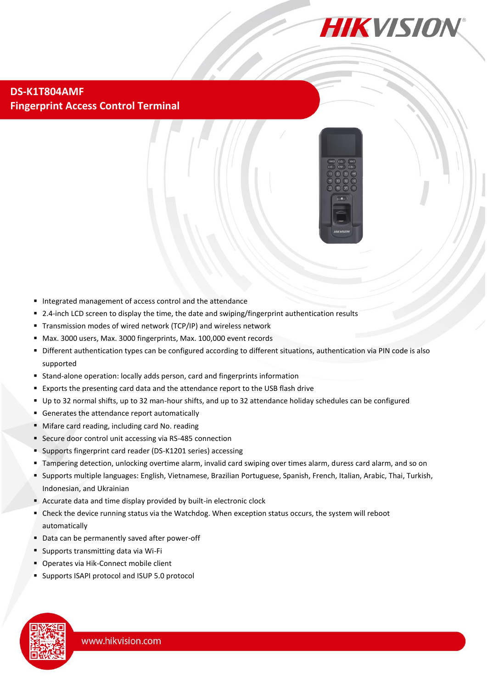

## **DS-K1T804AMF Fingerprint Access Control Terminal**



- Integrated management of access control and the attendance
- 2.4-inch LCD screen to display the time, the date and swiping/fingerprint authentication results
- Transmission modes of wired network (TCP/IP) and wireless network
- Max. 3000 users, Max. 3000 fingerprints, Max. 100,000 event records
- Different authentication types can be configured according to different situations, authentication via PIN code is also supported
- Stand-alone operation: locally adds person, card and fingerprints information
- **Exports the presenting card data and the attendance report to the USB flash drive**
- Up to 32 normal shifts, up to 32 man-hour shifts, and up to 32 attendance holiday schedules can be configured
- Generates the attendance report automatically
- Mifare card reading, including card No. reading
- Secure door control unit accessing via RS-485 connection
- Supports fingerprint card reader (DS-K1201 series) accessing
- Tampering detection, unlocking overtime alarm, invalid card swiping over times alarm, duress card alarm, and so on
- Supports multiple languages: English, Vietnamese, Brazilian Portuguese, Spanish, French, Italian, Arabic, Thai, Turkish, Indonesian, and Ukrainian
- Accurate data and time display provided by built-in electronic clock
- Check the device running status via the Watchdog. When exception status occurs, the system will reboot automatically
- Data can be permanently saved after power-off
- Supports transmitting data via Wi-Fi
- **Operates via Hik-Connect mobile client**
- **Supports ISAPI protocol and ISUP 5.0 protocol**

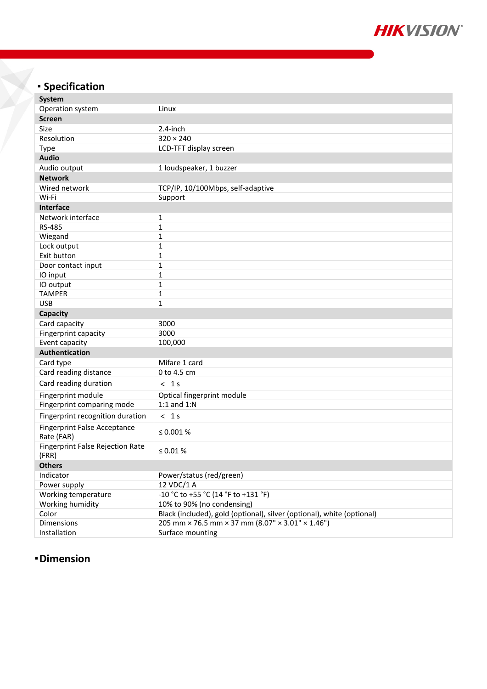

## **Specification**

| <b>System</b>                                     |                                                                        |
|---------------------------------------------------|------------------------------------------------------------------------|
| Operation system                                  | Linux                                                                  |
| <b>Screen</b>                                     |                                                                        |
| Size                                              | $2.4$ -inch                                                            |
| Resolution                                        | $320 \times 240$                                                       |
| Type                                              | LCD-TFT display screen                                                 |
| <b>Audio</b>                                      |                                                                        |
| Audio output                                      | 1 loudspeaker, 1 buzzer                                                |
| <b>Network</b>                                    |                                                                        |
| Wired network                                     | TCP/IP, 10/100Mbps, self-adaptive                                      |
| Wi-Fi                                             | Support                                                                |
| <b>Interface</b>                                  |                                                                        |
| Network interface                                 | $\mathbf{1}$                                                           |
| RS-485                                            | $\mathbf 1$                                                            |
| Wiegand                                           | $\mathbf{1}$                                                           |
| Lock output                                       | $\mathbf{1}$                                                           |
| Exit button                                       | $\mathbf{1}$                                                           |
| Door contact input                                | $\mathbf{1}$                                                           |
| IO input                                          | $\mathbf{1}$                                                           |
| IO output                                         | $\mathbf{1}$                                                           |
| <b>TAMPER</b>                                     | $\mathbf{1}$                                                           |
| <b>USB</b>                                        | $\mathbf{1}$                                                           |
| <b>Capacity</b>                                   |                                                                        |
| Card capacity                                     | 3000                                                                   |
| Fingerprint capacity                              | 3000                                                                   |
| Event capacity                                    | 100,000                                                                |
| Authentication                                    |                                                                        |
| Card type                                         | Mifare 1 card                                                          |
| Card reading distance                             | 0 to 4.5 cm                                                            |
| Card reading duration                             | < 1s                                                                   |
| Fingerprint module                                | Optical fingerprint module                                             |
| Fingerprint comparing mode                        | 1:1 and $1:N$                                                          |
| Fingerprint recognition duration                  | < 1s                                                                   |
| <b>Fingerprint False Acceptance</b><br>Rate (FAR) | ≤ 0.001 $%$                                                            |
| <b>Fingerprint False Rejection Rate</b><br>(FRR)  | ≤ 0.01 $%$                                                             |
| <b>Others</b>                                     |                                                                        |
| Indicator                                         | Power/status (red/green)                                               |
| Power supply                                      | 12 VDC/1 A                                                             |
| Working temperature                               | -10 °C to +55 °C (14 °F to +131 °F)                                    |
| Working humidity                                  | 10% to 90% (no condensing)                                             |
| Color                                             | Black (included), gold (optional), silver (optional), white (optional) |
| Dimensions                                        | 205 mm × 76.5 mm × 37 mm (8.07" × 3.01" × 1.46")                       |
| Installation                                      | Surface mounting                                                       |

## **Dimension**